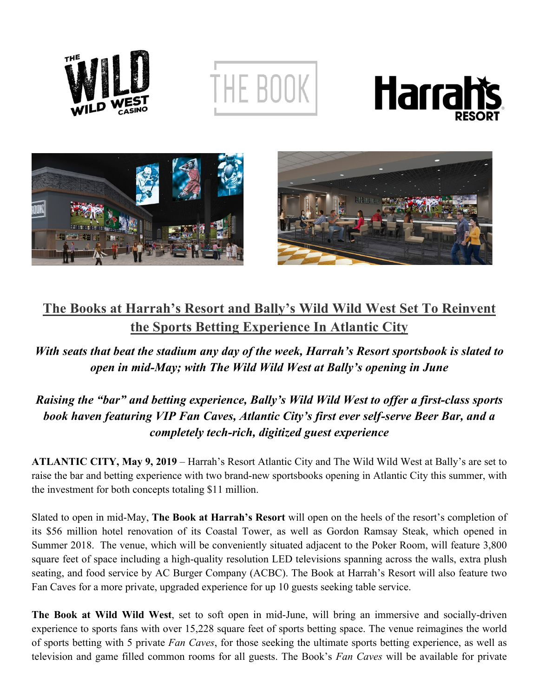

THE BOOK







## **The Books at Harrah's Resort and Bally's Wild Wild West Set To Reinvent the Sports Betting Experience In Atlantic City**

*With seats that beat the stadium any day of the week, Harrah's Resort sportsbook is slated to open in mid-May; with The Wild Wild West at Bally's opening in June*

## *Raising the "bar" and betting experience, Bally's Wild Wild West to offer a first-class sports book haven featuring VIP Fan Caves, Atlantic City's first ever self-serve Beer Bar, and a completely tech-rich, digitized guest experience*

**ATLANTIC CITY, May 9, 2019** – Harrah's Resort Atlantic City and The Wild Wild West at Bally's are set to raise the bar and betting experience with two brand-new sportsbooks opening in Atlantic City this summer, with the investment for both concepts totaling \$11 million.

Slated to open in mid-May, **The Book at Harrah's Resort** will open on the heels of the resort's completion of its \$56 million hotel renovation of its Coastal Tower, as well as Gordon Ramsay Steak, which opened in Summer 2018. The venue, which will be conveniently situated adjacent to the Poker Room, will feature 3,800 square feet of space including a high-quality resolution LED televisions spanning across the walls, extra plush seating, and food service by AC Burger Company (ACBC). The Book at Harrah's Resort will also feature two Fan Caves for a more private, upgraded experience for up 10 guests seeking table service.

**The Book at Wild Wild West**, set to soft open in mid-June, will bring an immersive and socially-driven experience to sports fans with over 15,228 square feet of sports betting space. The venue reimagines the world of sports betting with 5 private *Fan Caves*, for those seeking the ultimate sports betting experience, as well as television and game filled common rooms for all guests. The Book's *Fan Caves* will be available for private